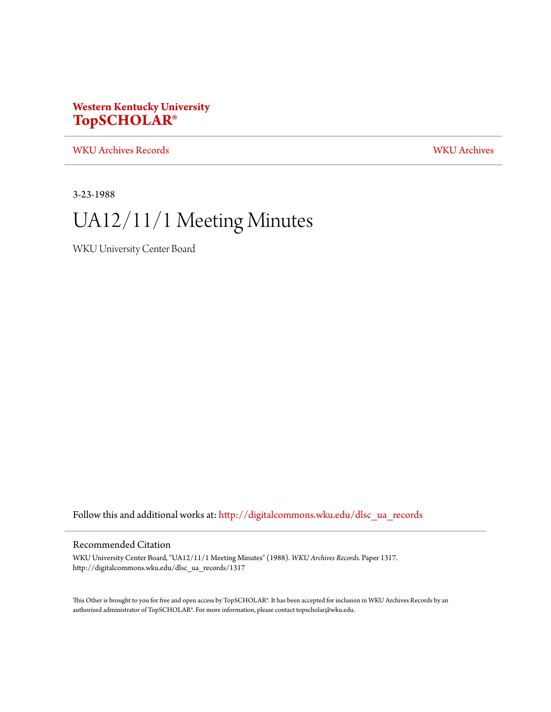### **Western Kentucky University [TopSCHOLAR®](http://digitalcommons.wku.edu?utm_source=digitalcommons.wku.edu%2Fdlsc_ua_records%2F1317&utm_medium=PDF&utm_campaign=PDFCoverPages)**

[WKU Archives Records](http://digitalcommons.wku.edu/dlsc_ua_records?utm_source=digitalcommons.wku.edu%2Fdlsc_ua_records%2F1317&utm_medium=PDF&utm_campaign=PDFCoverPages) [WKU Archives](http://digitalcommons.wku.edu/dlsc_ua?utm_source=digitalcommons.wku.edu%2Fdlsc_ua_records%2F1317&utm_medium=PDF&utm_campaign=PDFCoverPages)

3-23-1988

# UA12/11/1 Meeting Minutes

WKU University Center Board

Follow this and additional works at: [http://digitalcommons.wku.edu/dlsc\\_ua\\_records](http://digitalcommons.wku.edu/dlsc_ua_records?utm_source=digitalcommons.wku.edu%2Fdlsc_ua_records%2F1317&utm_medium=PDF&utm_campaign=PDFCoverPages)

### Recommended Citation

WKU University Center Board, "UA12/11/1 Meeting Minutes" (1988). *WKU Archives Records.* Paper 1317. http://digitalcommons.wku.edu/dlsc\_ua\_records/1317

This Other is brought to you for free and open access by TopSCHOLAR®. It has been accepted for inclusion in WKU Archives Records by an authorized administrator of TopSCHOLAR®. For more information, please contact topscholar@wku.edu.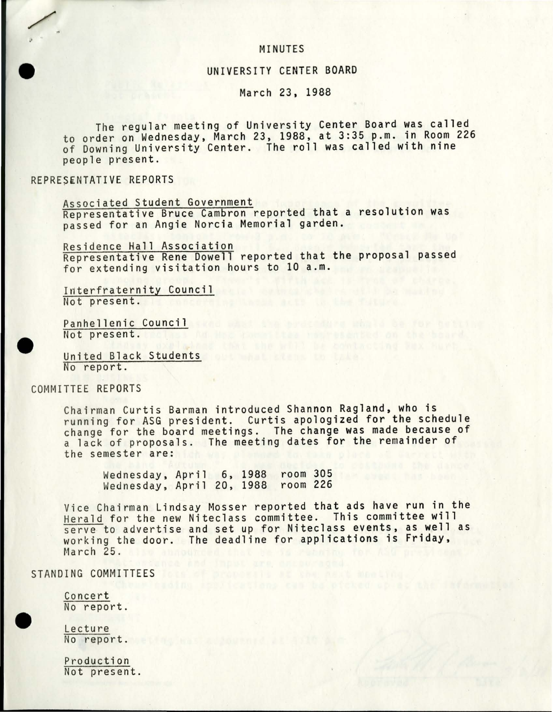### MINUTES

### UNIVERSITY CENTER BOARD

### March 23, 1988

The regular meeting of University Center Board was called to order on Wednesday, March 23, 1988, at 3:35 p.m. in Room 226 of Downing University Center. The roll was called with nine people present.

### REPRESENTATIVE REPORTS

,

•

Associated Student Government Representative Bruce Cambron reported that a resolution was passed for an Angie Norcia Memorial garden.

Residence Hall Association Representative Rene Dowell reported that the proposal passed for extending visitation hours to 10 a.m.

Interfraternity Council<br>Not present. Not present.

Pan he llenic Council and the council and the council and the council and the council and the council and the council and the council and the council and the council and the council and the council and the council and the Panhellenic<br>
Not present.<br>
United Black<br>
No report.

United Black Students No report.

### COMMITTEE REPORTS

Chairman Curtis Barman introduced Shannon Ragland, who is running for ASG president. Curtis apologized for the schedule change for the board meetings. The change was made because of a lack of proposals. The meeting dates for the remainder of the semester are:

Wednesday, April 6, 1988 room 305 Wednesday, April 20, 1988 room 226

Vice Chairman Lindsay Mosser reported that ads have run in the Herald for the new Niteclass committee. This committee will serve to advertise and set up for Niteclass events, as well as working the door. The deadline for applications is Friday, March 25.

## STANDING COMMITTEES FOR THE ENDING STANDING COMMITTEES FOR THE ENDING:

Concert No report.

Lecture No report.

•

Produc tion Not present.